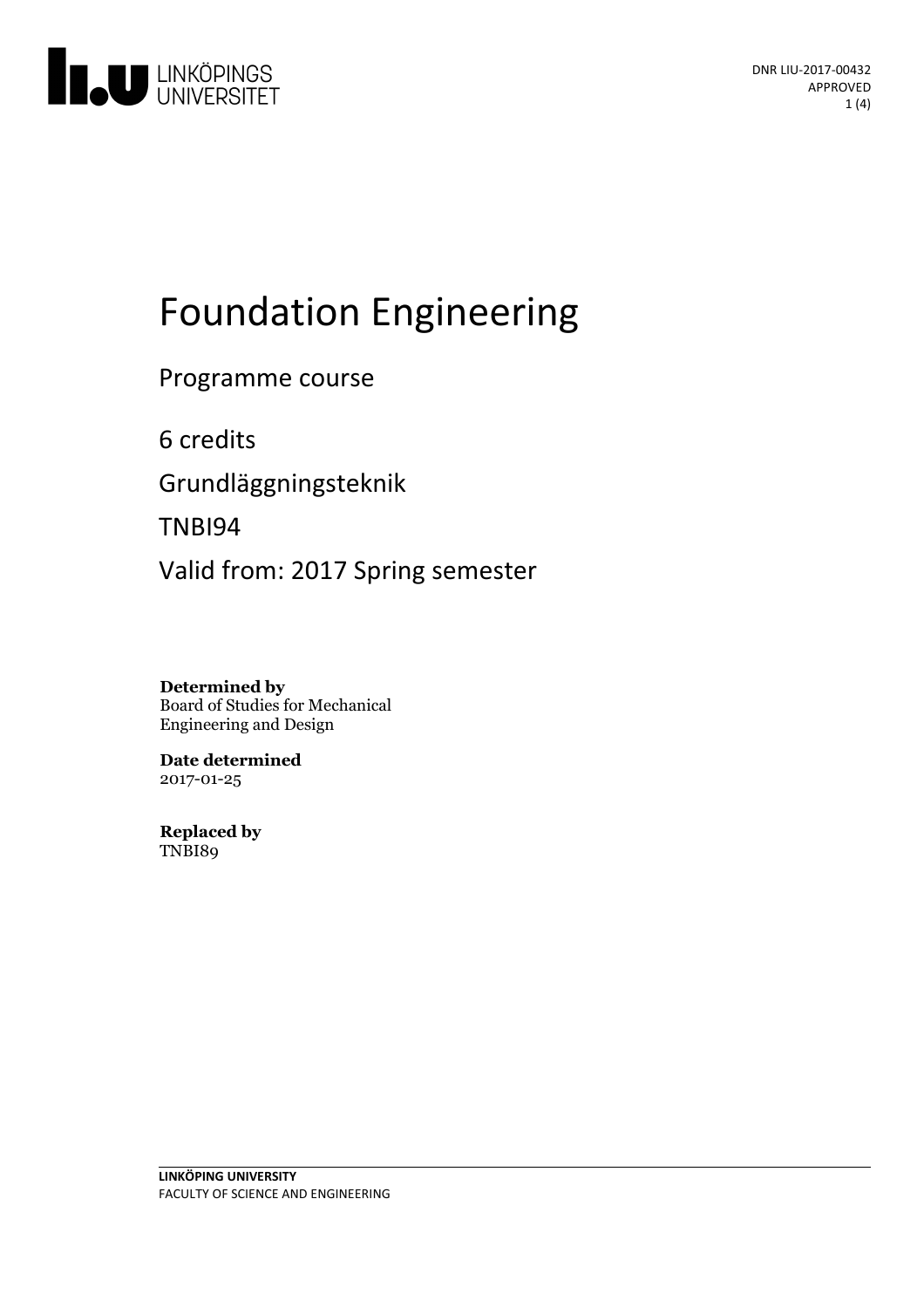

# Foundation Engineering

Programme course

6 credits Grundläggningsteknik

TNBI94

Valid from: 2017 Spring semester

**Determined by** Board of Studies for Mechanical Engineering and Design

**Date determined** 2017-01-25

**Replaced by** TNBI89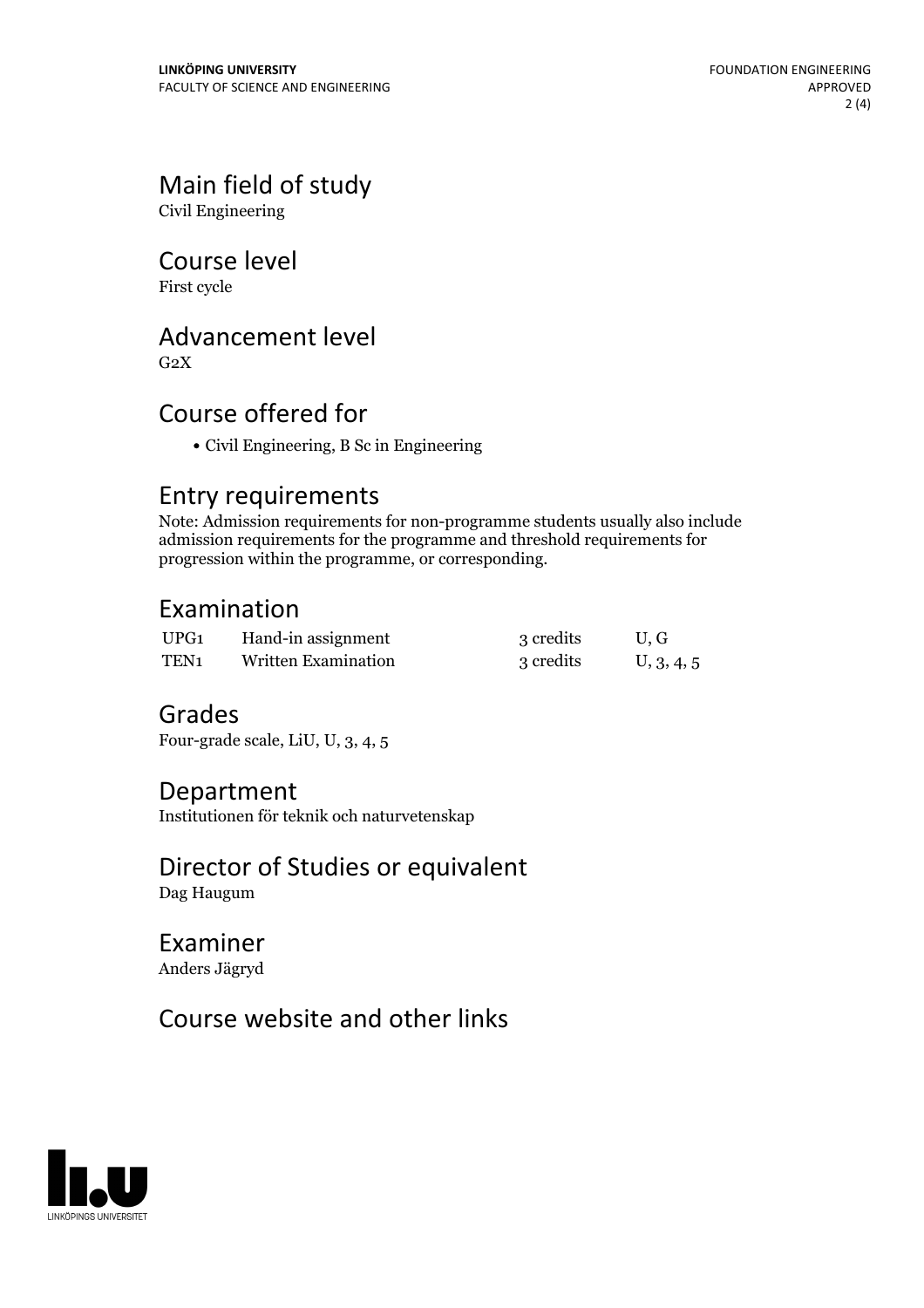# Main field of study

Civil Engineering

### Course level

First cycle

## Advancement level

 $G<sub>2</sub>X$ 

## Course offered for

Civil Engineering, B Sc in Engineering

### Entry requirements

Note: Admission requirements for non-programme students usually also include admission requirements for the programme and threshold requirements for progression within the programme, or corresponding.

## Examination

| UPG1 | Hand-in assignment         | 3 credits | U.G        |
|------|----------------------------|-----------|------------|
| TEN1 | <b>Written Examination</b> | 3 credits | U, 3, 4, 5 |

### Grades

Four-grade scale, LiU, U, 3, 4, 5

### Department

Institutionen för teknik och naturvetenskap

# Director of Studies or equivalent

Dag Haugum

### Examiner Anders Jägryd

# Course website and other links

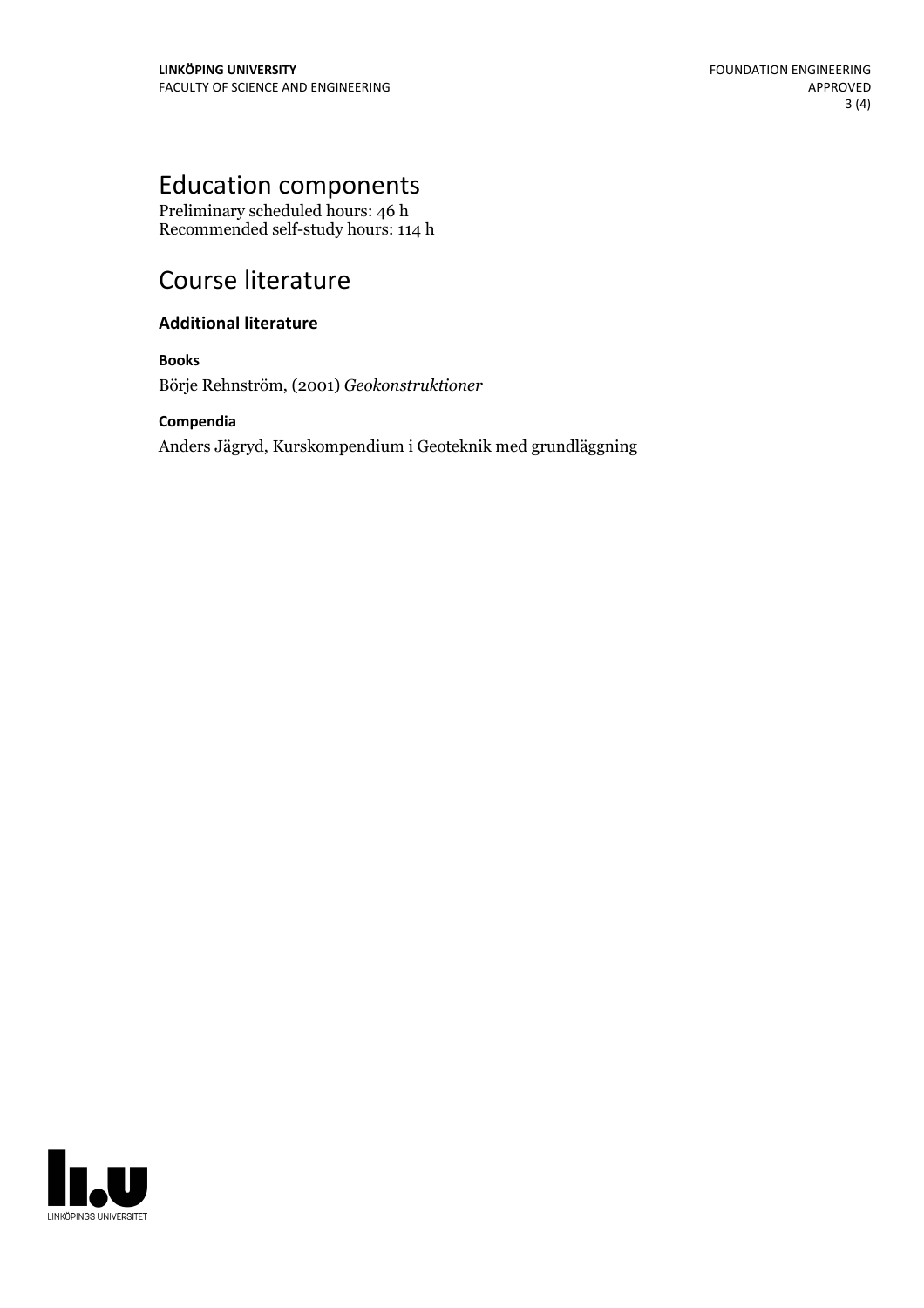# Education components

Preliminary scheduled hours: 46 h Recommended self-study hours: 114 h

# Course literature

#### **Additional literature**

**Books** Börje Rehnström, (2001) *Geokonstruktioner*

#### **Compendia**

Anders Jägryd, Kurskompendium i Geoteknik med grundläggning